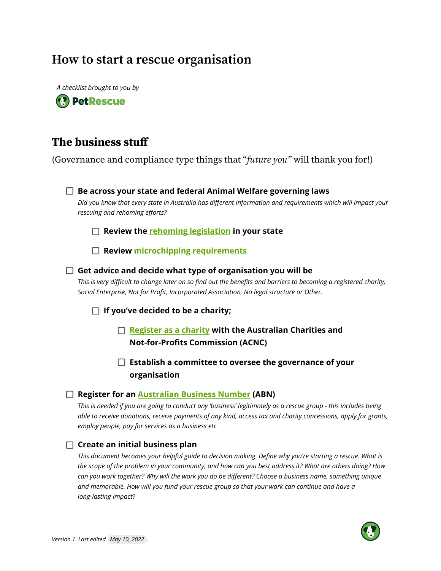# **How to start a rescue organisation**

*A checklist brought to you by* <sup>7</sup> Pet Rescue

## **The business stuff**

(Governance and compliance type things that "future you" will thank you for!)

| Be across your state and federal Animal Welfare governing laws<br>Did you know that every state in Australia has different information and requirements which will impact your                                                   |
|----------------------------------------------------------------------------------------------------------------------------------------------------------------------------------------------------------------------------------|
| rescuing and rehoming efforts?                                                                                                                                                                                                   |
| Review the rehoming legislation in your state                                                                                                                                                                                    |
| <b>Review microchipping requirements</b>                                                                                                                                                                                         |
| Get advice and decide what type of organisation you will be                                                                                                                                                                      |
| This is very difficult to change later on so find out the benefits and barriers to becoming a registered charity,<br>Social Enterprise, Not for Profit, Incorporated Association, No legal structure or Other.                   |
| If you've decided to be a charity;                                                                                                                                                                                               |
| <b>Register as a charity with the Australian Charities and</b>                                                                                                                                                                   |
| <b>Not-for-Profits Commission (ACNC)</b>                                                                                                                                                                                         |
| Establish a committee to oversee the governance of your                                                                                                                                                                          |
| organisation                                                                                                                                                                                                                     |
| <b>Register for an Australian Business Number (ABN)</b>                                                                                                                                                                          |
| This is needed if you are going to conduct any 'business' legitimately as a rescue group - this includes being<br>able to receive donations, receive payments of any kind, access tax and charity concessions, apply for grants, |
| employ people, pay for services as a business etc                                                                                                                                                                                |
| Create an initial business plan                                                                                                                                                                                                  |
| This document becomes your helpful guide to decision making. Define why you're starting a rescue. What is                                                                                                                        |
| the scone of the problem in your community, and how can you hest address it? What are others doing? How                                                                                                                          |

*the scope of the problem in your community, and how can you best address it? What are others doing? How can you work together? Why will the work you do be different? Choose a business name, something unique and memorable. How will you fund your rescue group so that your work can continue and have a long-lasting impact?*